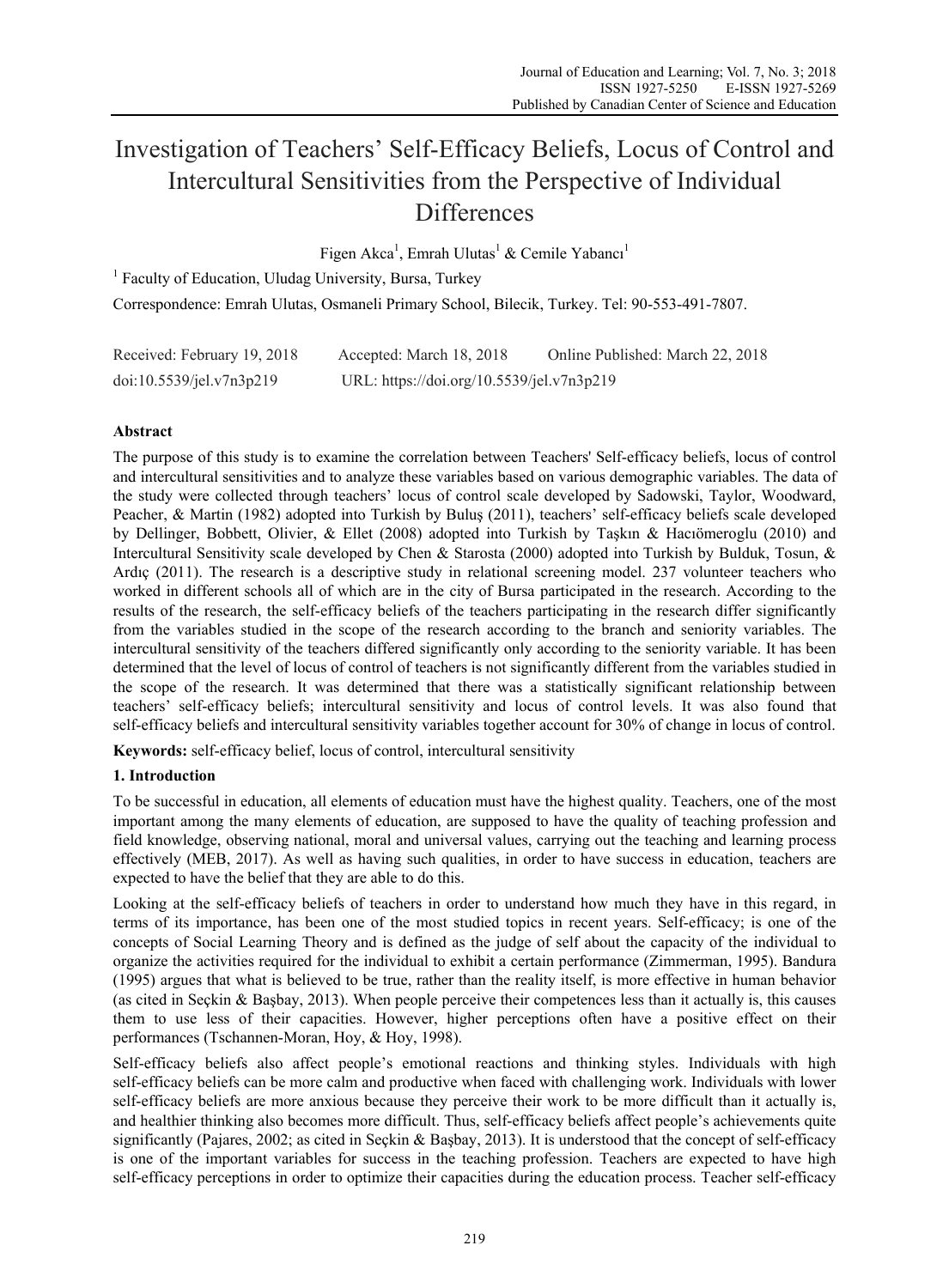# Investigation of Teachers' Self-Efficacy Beliefs, Locus of Control and Intercultural Sensitivities from the Perspective of Individual **Differences**

Figen Akca<sup>1</sup>, Emrah Ulutas<sup>1</sup> & Cemile Yabancı<sup>1</sup>

<sup>1</sup> Faculty of Education, Uludag University, Bursa, Turkey

Correspondence: Emrah Ulutas, Osmaneli Primary School, Bilecik, Turkey. Tel: 90-553-491-7807.

| Received: February 19, 2018 | Accepted: March 18, 2018                  | Online Published: March 22, 2018 |
|-----------------------------|-------------------------------------------|----------------------------------|
| doi:10.5539/jel.v7n3p219    | URL: https://doi.org/10.5539/jel.v7n3p219 |                                  |

# **Abstract**

The purpose of this study is to examine the correlation between Teachers' Self-efficacy beliefs, locus of control and intercultural sensitivities and to analyze these variables based on various demographic variables. The data of the study were collected through teachers' locus of control scale developed by Sadowski, Taylor, Woodward, Peacher, & Martin (1982) adopted into Turkish by Buluş (2011), teachers' self-efficacy beliefs scale developed by Dellinger, Bobbett, Olivier, & Ellet (2008) adopted into Turkish by Taşkın & Hacıömeroglu (2010) and Intercultural Sensitivity scale developed by Chen & Starosta (2000) adopted into Turkish by Bulduk, Tosun, & Ardıç (2011). The research is a descriptive study in relational screening model. 237 volunteer teachers who worked in different schools all of which are in the city of Bursa participated in the research. According to the results of the research, the self-efficacy beliefs of the teachers participating in the research differ significantly from the variables studied in the scope of the research according to the branch and seniority variables. The intercultural sensitivity of the teachers differed significantly only according to the seniority variable. It has been determined that the level of locus of control of teachers is not significantly different from the variables studied in the scope of the research. It was determined that there was a statistically significant relationship between teachers' self-efficacy beliefs; intercultural sensitivity and locus of control levels. It was also found that self-efficacy beliefs and intercultural sensitivity variables together account for 30% of change in locus of control.

**Keywords:** self-efficacy belief, locus of control, intercultural sensitivity

# **1. Introduction**

To be successful in education, all elements of education must have the highest quality. Teachers, one of the most important among the many elements of education, are supposed to have the quality of teaching profession and field knowledge, observing national, moral and universal values, carrying out the teaching and learning process effectively (MEB, 2017). As well as having such qualities, in order to have success in education, teachers are expected to have the belief that they are able to do this.

Looking at the self-efficacy beliefs of teachers in order to understand how much they have in this regard, in terms of its importance, has been one of the most studied topics in recent years. Self-efficacy; is one of the concepts of Social Learning Theory and is defined as the judge of self about the capacity of the individual to organize the activities required for the individual to exhibit a certain performance (Zimmerman, 1995). Bandura (1995) argues that what is believed to be true, rather than the reality itself, is more effective in human behavior (as cited in Seçkin & Başbay, 2013). When people perceive their competences less than it actually is, this causes them to use less of their capacities. However, higher perceptions often have a positive effect on their performances (Tschannen-Moran, Hoy, & Hoy, 1998).

Self-efficacy beliefs also affect people's emotional reactions and thinking styles. Individuals with high self-efficacy beliefs can be more calm and productive when faced with challenging work. Individuals with lower self-efficacy beliefs are more anxious because they perceive their work to be more difficult than it actually is, and healthier thinking also becomes more difficult. Thus, self-efficacy beliefs affect people's achievements quite significantly (Pajares, 2002; as cited in Seçkin & Başbay, 2013). It is understood that the concept of self-efficacy is one of the important variables for success in the teaching profession. Teachers are expected to have high self-efficacy perceptions in order to optimize their capacities during the education process. Teacher self-efficacy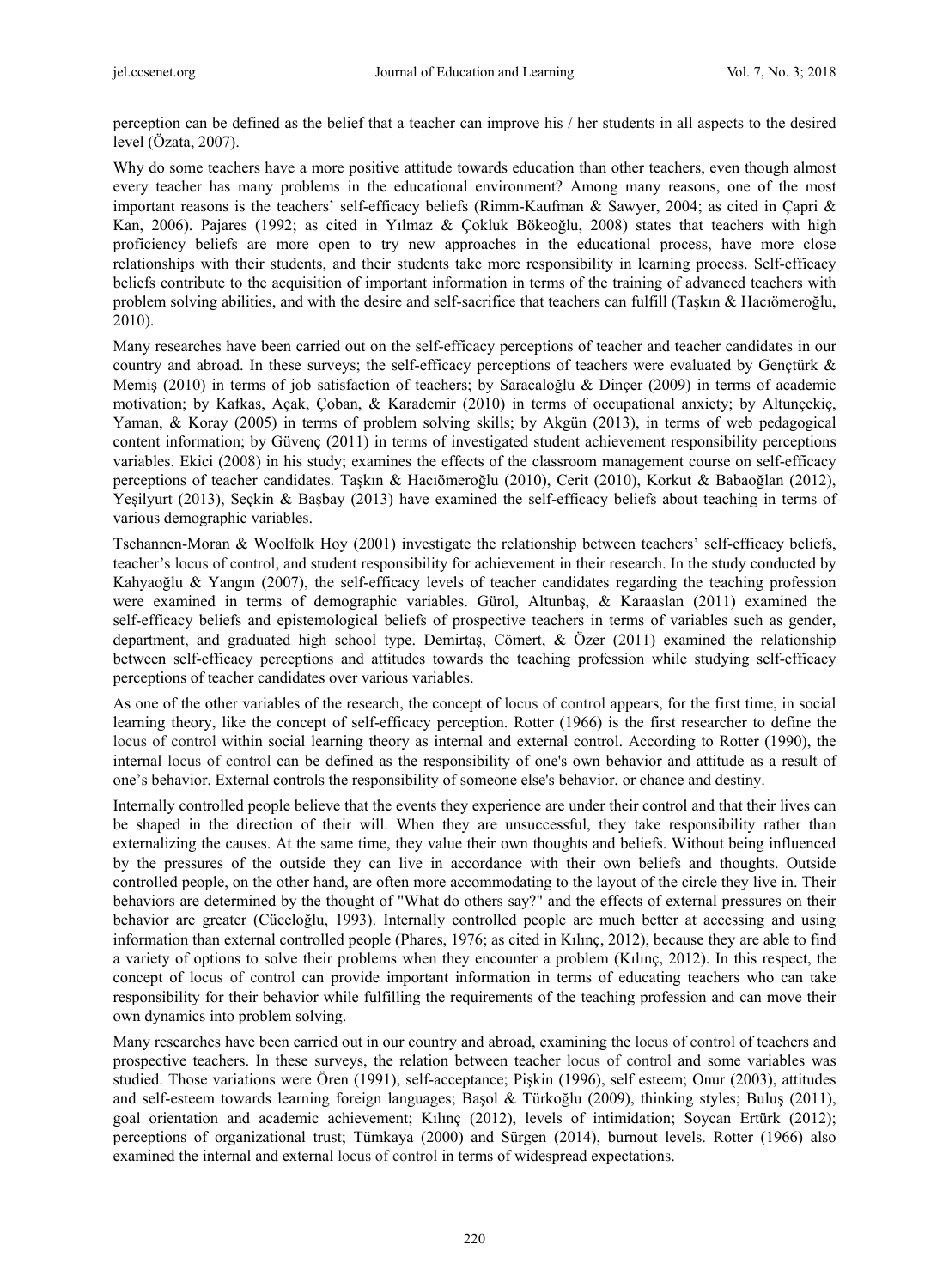perception can be defined as the belief that a teacher can improve his / her students in all aspects to the desired level (Özata, 2007).

Why do some teachers have a more positive attitude towards education than other teachers, even though almost every teacher has many problems in the educational environment? Among many reasons, one of the most important reasons is the teachers' self-efficacy beliefs (Rimm-Kaufman & Sawyer, 2004; as cited in Çapri & Kan, 2006). Pajares (1992; as cited in Yılmaz & Çokluk Bökeoğlu, 2008) states that teachers with high proficiency beliefs are more open to try new approaches in the educational process, have more close relationships with their students, and their students take more responsibility in learning process. Self-efficacy beliefs contribute to the acquisition of important information in terms of the training of advanced teachers with problem solving abilities, and with the desire and self-sacrifice that teachers can fulfill (Taşkın & Hacıömeroğlu, 2010).

Many researches have been carried out on the self-efficacy perceptions of teacher and teacher candidates in our country and abroad. In these surveys; the self-efficacy perceptions of teachers were evaluated by Gençtürk & Memiş (2010) in terms of job satisfaction of teachers; by Saracaloğlu & Dinçer (2009) in terms of academic motivation; by Kafkas, Açak, Çoban, & Karademir (2010) in terms of occupational anxiety; by Altunçekiç, Yaman, & Koray (2005) in terms of problem solving skills; by Akgün (2013), in terms of web pedagogical content information; by Güvenç (2011) in terms of investigated student achievement responsibility perceptions variables. Ekici (2008) in his study; examines the effects of the classroom management course on self-efficacy perceptions of teacher candidates. Taşkın & Hacıömeroğlu (2010), Cerit (2010), Korkut & Babaoğlan (2012), Yeşilyurt (2013), Seçkin & Başbay (2013) have examined the self-efficacy beliefs about teaching in terms of various demographic variables.

Tschannen-Moran & Woolfolk Hoy (2001) investigate the relationship between teachers' self-efficacy beliefs, teacher's locus of control, and student responsibility for achievement in their research. In the study conducted by Kahyaoğlu & Yangın (2007), the self-efficacy levels of teacher candidates regarding the teaching profession were examined in terms of demographic variables. Gürol, Altunbaş, & Karaaslan (2011) examined the self-efficacy beliefs and epistemological beliefs of prospective teachers in terms of variables such as gender, department, and graduated high school type. Demirtaş, Cömert, & Özer (2011) examined the relationship between self-efficacy perceptions and attitudes towards the teaching profession while studying self-efficacy perceptions of teacher candidates over various variables.

As one of the other variables of the research, the concept of locus of control appears, for the first time, in social learning theory, like the concept of self-efficacy perception. Rotter (1966) is the first researcher to define the locus of control within social learning theory as internal and external control. According to Rotter (1990), the internal locus of control can be defined as the responsibility of one's own behavior and attitude as a result of one's behavior. External controls the responsibility of someone else's behavior, or chance and destiny.

Internally controlled people believe that the events they experience are under their control and that their lives can be shaped in the direction of their will. When they are unsuccessful, they take responsibility rather than externalizing the causes. At the same time, they value their own thoughts and beliefs. Without being influenced by the pressures of the outside they can live in accordance with their own beliefs and thoughts. Outside controlled people, on the other hand, are often more accommodating to the layout of the circle they live in. Their behaviors are determined by the thought of "What do others say?" and the effects of external pressures on their behavior are greater (Cüceloğlu, 1993). Internally controlled people are much better at accessing and using information than external controlled people (Phares, 1976; as cited in Kılınç, 2012), because they are able to find a variety of options to solve their problems when they encounter a problem (Kılınç, 2012). In this respect, the concept of locus of control can provide important information in terms of educating teachers who can take responsibility for their behavior while fulfilling the requirements of the teaching profession and can move their own dynamics into problem solving.

Many researches have been carried out in our country and abroad, examining the locus of control of teachers and prospective teachers. In these surveys, the relation between teacher locus of control and some variables was studied. Those variations were Ören (1991), self-acceptance; Pişkin (1996), self esteem; Onur (2003), attitudes and self-esteem towards learning foreign languages; Başol & Türkoğlu (2009), thinking styles; Buluş (2011), goal orientation and academic achievement; Kılınç (2012), levels of intimidation; Soycan Ertürk (2012); perceptions of organizational trust; Tümkaya (2000) and Sürgen (2014), burnout levels. Rotter (1966) also examined the internal and external locus of control in terms of widespread expectations.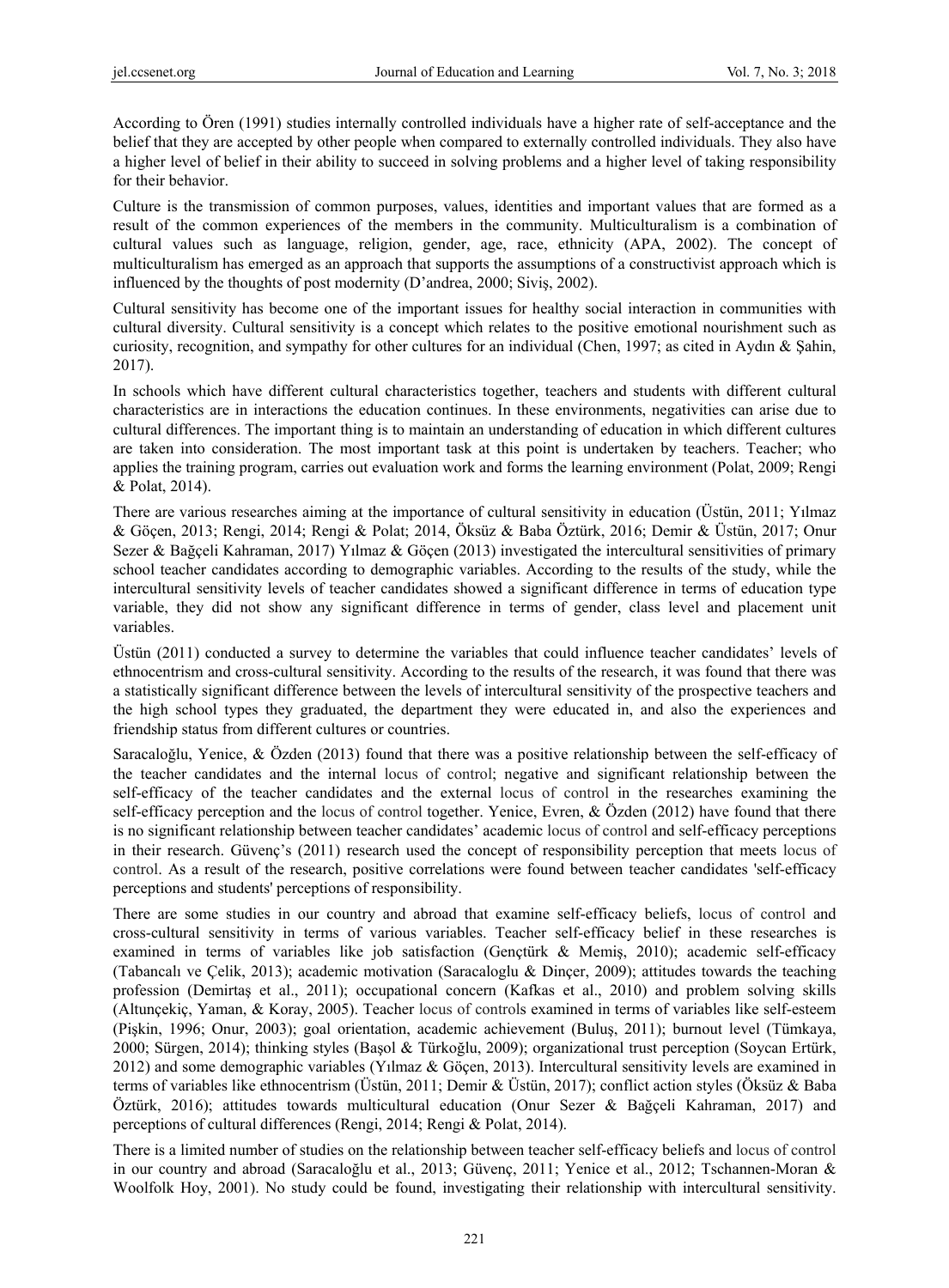According to Ören (1991) studies internally controlled individuals have a higher rate of self-acceptance and the belief that they are accepted by other people when compared to externally controlled individuals. They also have a higher level of belief in their ability to succeed in solving problems and a higher level of taking responsibility for their behavior.

Culture is the transmission of common purposes, values, identities and important values that are formed as a result of the common experiences of the members in the community. Multiculturalism is a combination of cultural values such as language, religion, gender, age, race, ethnicity (APA, 2002). The concept of multiculturalism has emerged as an approach that supports the assumptions of a constructivist approach which is influenced by the thoughts of post modernity (D'andrea, 2000; Siviş, 2002).

Cultural sensitivity has become one of the important issues for healthy social interaction in communities with cultural diversity. Cultural sensitivity is a concept which relates to the positive emotional nourishment such as curiosity, recognition, and sympathy for other cultures for an individual (Chen, 1997; as cited in Aydın & Şahin, 2017).

In schools which have different cultural characteristics together, teachers and students with different cultural characteristics are in interactions the education continues. In these environments, negativities can arise due to cultural differences. The important thing is to maintain an understanding of education in which different cultures are taken into consideration. The most important task at this point is undertaken by teachers. Teacher; who applies the training program, carries out evaluation work and forms the learning environment (Polat, 2009; Rengi & Polat, 2014).

There are various researches aiming at the importance of cultural sensitivity in education (Üstün, 2011; Yılmaz & Göçen, 2013; Rengi, 2014; Rengi & Polat; 2014, Öksüz & Baba Öztürk, 2016; Demir & Üstün, 2017; Onur Sezer & Bağçeli Kahraman, 2017) Yılmaz & Göçen (2013) investigated the intercultural sensitivities of primary school teacher candidates according to demographic variables. According to the results of the study, while the intercultural sensitivity levels of teacher candidates showed a significant difference in terms of education type variable, they did not show any significant difference in terms of gender, class level and placement unit variables.

Üstün (2011) conducted a survey to determine the variables that could influence teacher candidates' levels of ethnocentrism and cross-cultural sensitivity. According to the results of the research, it was found that there was a statistically significant difference between the levels of intercultural sensitivity of the prospective teachers and the high school types they graduated, the department they were educated in, and also the experiences and friendship status from different cultures or countries.

Saracaloğlu, Yenice, & Özden (2013) found that there was a positive relationship between the self-efficacy of the teacher candidates and the internal locus of control; negative and significant relationship between the self-efficacy of the teacher candidates and the external locus of control in the researches examining the self-efficacy perception and the locus of control together. Yenice, Evren, & Özden (2012) have found that there is no significant relationship between teacher candidates' academic locus of control and self-efficacy perceptions in their research. Güvenç's (2011) research used the concept of responsibility perception that meets locus of control. As a result of the research, positive correlations were found between teacher candidates 'self-efficacy perceptions and students' perceptions of responsibility.

There are some studies in our country and abroad that examine self-efficacy beliefs, locus of control and cross-cultural sensitivity in terms of various variables. Teacher self-efficacy belief in these researches is examined in terms of variables like job satisfaction (Gençtürk & Memiş, 2010); academic self-efficacy (Tabancalı ve Çelik, 2013); academic motivation (Saracaloglu & Dinçer, 2009); attitudes towards the teaching profession (Demirtaş et al., 2011); occupational concern (Kafkas et al., 2010) and problem solving skills (Altunçekiç, Yaman, & Koray, 2005). Teacher locus of controls examined in terms of variables like self-esteem (Pişkin, 1996; Onur, 2003); goal orientation, academic achievement (Buluş, 2011); burnout level (Tümkaya, 2000; Sürgen, 2014); thinking styles (Başol & Türkoğlu, 2009); organizational trust perception (Soycan Ertürk, 2012) and some demographic variables (Yılmaz & Göçen, 2013). Intercultural sensitivity levels are examined in terms of variables like ethnocentrism (Üstün, 2011; Demir & Üstün, 2017); conflict action styles (Öksüz & Baba Öztürk, 2016); attitudes towards multicultural education (Onur Sezer & Bağçeli Kahraman, 2017) and perceptions of cultural differences (Rengi, 2014; Rengi & Polat, 2014).

There is a limited number of studies on the relationship between teacher self-efficacy beliefs and locus of control in our country and abroad (Saracaloğlu et al., 2013; Güvenç, 2011; Yenice et al., 2012; Tschannen-Moran & Woolfolk Hoy, 2001). No study could be found, investigating their relationship with intercultural sensitivity.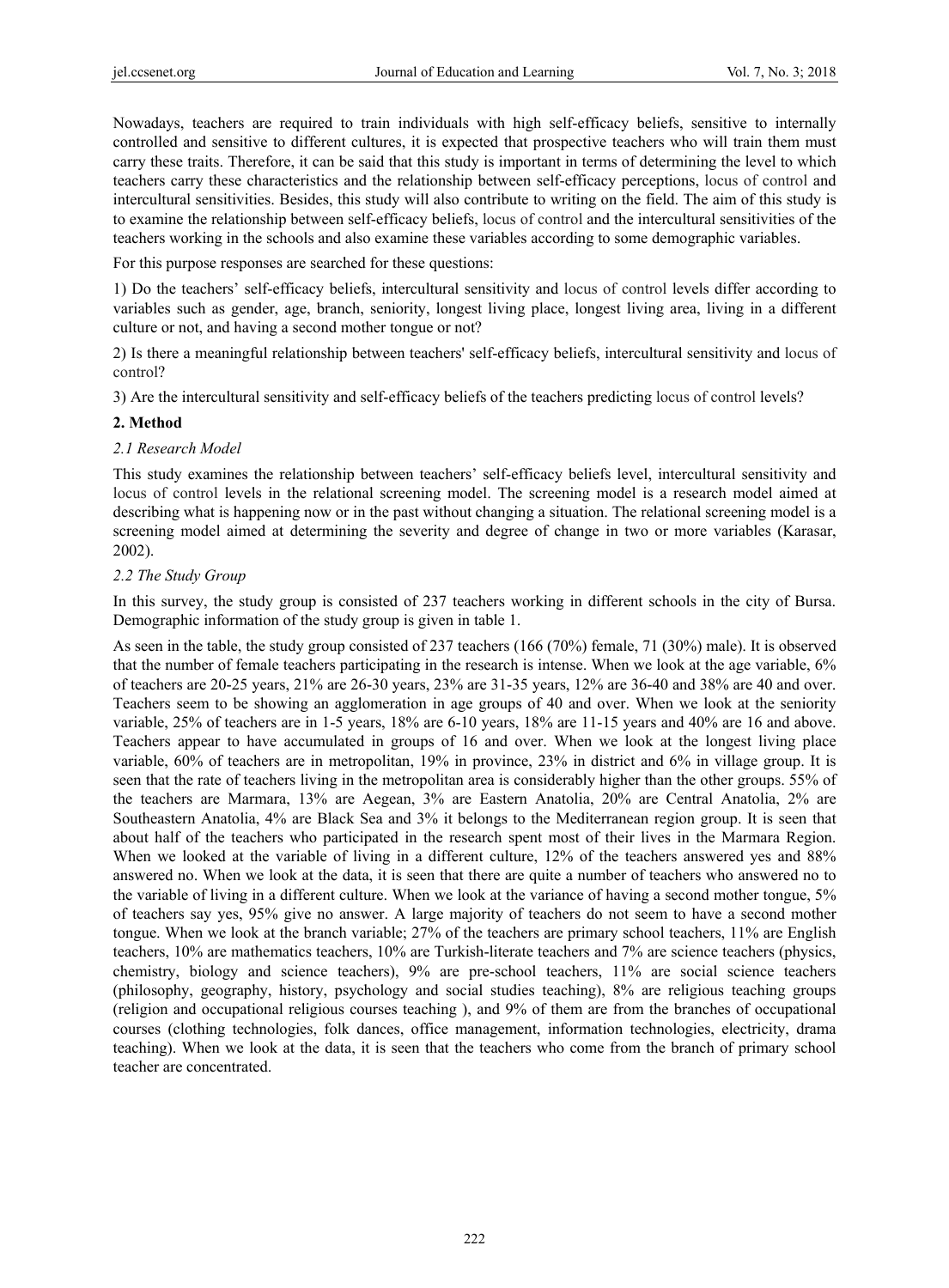Nowadays, teachers are required to train individuals with high self-efficacy beliefs, sensitive to internally controlled and sensitive to different cultures, it is expected that prospective teachers who will train them must carry these traits. Therefore, it can be said that this study is important in terms of determining the level to which teachers carry these characteristics and the relationship between self-efficacy perceptions, locus of control and intercultural sensitivities. Besides, this study will also contribute to writing on the field. The aim of this study is to examine the relationship between self-efficacy beliefs, locus of control and the intercultural sensitivities of the teachers working in the schools and also examine these variables according to some demographic variables.

For this purpose responses are searched for these questions:

1) Do the teachers' self-efficacy beliefs, intercultural sensitivity and locus of control levels differ according to variables such as gender, age, branch, seniority, longest living place, longest living area, living in a different culture or not, and having a second mother tongue or not?

2) Is there a meaningful relationship between teachers' self-efficacy beliefs, intercultural sensitivity and locus of control?

3) Are the intercultural sensitivity and self-efficacy beliefs of the teachers predicting locus of control levels?

#### **2. Method**

#### *2.1 Research Model*

This study examines the relationship between teachers' self-efficacy beliefs level, intercultural sensitivity and locus of control levels in the relational screening model. The screening model is a research model aimed at describing what is happening now or in the past without changing a situation. The relational screening model is a screening model aimed at determining the severity and degree of change in two or more variables (Karasar, 2002).

#### *2.2 The Study Group*

In this survey, the study group is consisted of 237 teachers working in different schools in the city of Bursa. Demographic information of the study group is given in table 1.

As seen in the table, the study group consisted of 237 teachers (166 (70%) female, 71 (30%) male). It is observed that the number of female teachers participating in the research is intense. When we look at the age variable, 6% of teachers are 20-25 years, 21% are 26-30 years, 23% are 31-35 years, 12% are 36-40 and 38% are 40 and over. Teachers seem to be showing an agglomeration in age groups of 40 and over. When we look at the seniority variable, 25% of teachers are in 1-5 years, 18% are 6-10 years, 18% are 11-15 years and 40% are 16 and above. Teachers appear to have accumulated in groups of 16 and over. When we look at the longest living place variable, 60% of teachers are in metropolitan, 19% in province, 23% in district and 6% in village group. It is seen that the rate of teachers living in the metropolitan area is considerably higher than the other groups. 55% of the teachers are Marmara, 13% are Aegean, 3% are Eastern Anatolia, 20% are Central Anatolia, 2% are Southeastern Anatolia, 4% are Black Sea and 3% it belongs to the Mediterranean region group. It is seen that about half of the teachers who participated in the research spent most of their lives in the Marmara Region. When we looked at the variable of living in a different culture, 12% of the teachers answered yes and 88% answered no. When we look at the data, it is seen that there are quite a number of teachers who answered no to the variable of living in a different culture. When we look at the variance of having a second mother tongue, 5% of teachers say yes, 95% give no answer. A large majority of teachers do not seem to have a second mother tongue. When we look at the branch variable; 27% of the teachers are primary school teachers, 11% are English teachers, 10% are mathematics teachers, 10% are Turkish-literate teachers and 7% are science teachers (physics, chemistry, biology and science teachers), 9% are pre-school teachers, 11% are social science teachers (philosophy, geography, history, psychology and social studies teaching), 8% are religious teaching groups (religion and occupational religious courses teaching ), and 9% of them are from the branches of occupational courses (clothing technologies, folk dances, office management, information technologies, electricity, drama teaching). When we look at the data, it is seen that the teachers who come from the branch of primary school teacher are concentrated.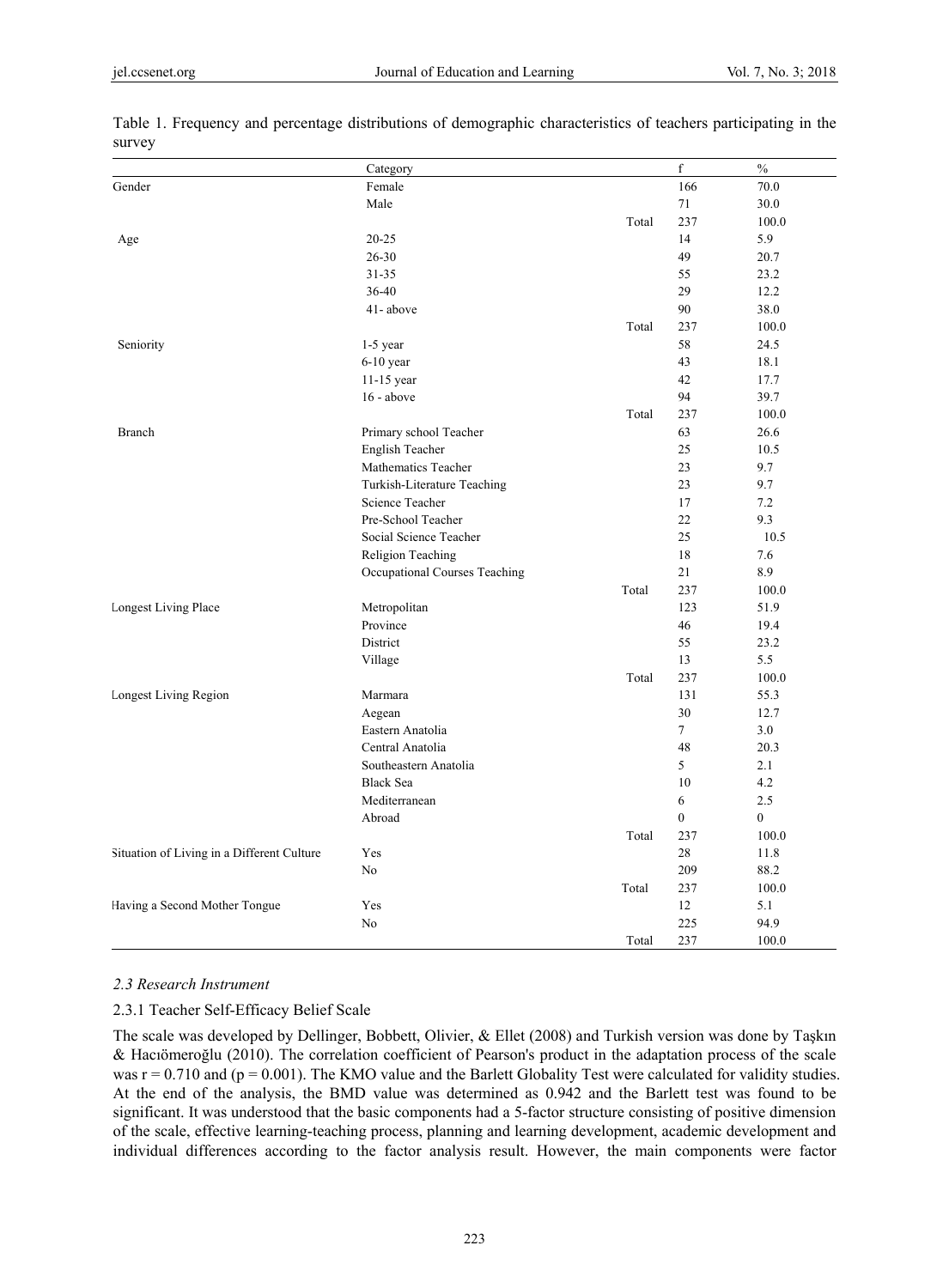|                                            | Category                      |       | $\mathbf f$  | $\frac{0}{0}$  |
|--------------------------------------------|-------------------------------|-------|--------------|----------------|
| Gender                                     | Female                        |       | 166          | 70.0           |
|                                            | Male                          |       | 71           | 30.0           |
|                                            |                               | Total | 237          | 100.0          |
| Age                                        | $20 - 25$                     |       | 14           | 5.9            |
|                                            | 26-30                         |       | 49           | 20.7           |
|                                            | $31 - 35$                     |       | 55           | 23.2           |
|                                            | 36-40                         |       | 29           | 12.2           |
|                                            | 41-above                      |       | 90           | 38.0           |
|                                            |                               | Total | 237          | 100.0          |
| Seniority                                  | $1-5$ year                    |       | 58           | 24.5           |
|                                            | $6-10$ year                   |       | 43           | 18.1           |
|                                            | $11-15$ year                  |       | 42           | 17.7           |
|                                            | 16 - above                    |       | 94           | 39.7           |
|                                            |                               | Total | 237          | 100.0          |
| Branch                                     | Primary school Teacher        |       | 63           | 26.6           |
|                                            | English Teacher               |       | 25           | 10.5           |
|                                            | Mathematics Teacher           |       | 23           | 9.7            |
|                                            | Turkish-Literature Teaching   |       | 23           | 9.7            |
|                                            | Science Teacher               |       | 17           | 7.2            |
|                                            | Pre-School Teacher            |       | 22           | 9.3            |
|                                            | Social Science Teacher        |       | 25           | 10.5           |
|                                            | Religion Teaching             |       | 18           | 7.6            |
|                                            | Occupational Courses Teaching |       | 21           | 8.9            |
|                                            |                               | Total | 237          | 100.0          |
| <b>Longest Living Place</b>                | Metropolitan                  |       | 123          | 51.9           |
|                                            | Province                      |       | 46           | 19.4           |
|                                            | District                      |       | 55           | 23.2           |
|                                            | Village                       |       | 13           | 5.5            |
|                                            |                               | Total | 237          | 100.0          |
| Longest Living Region                      | Marmara                       |       | 131          | 55.3           |
|                                            | Aegean                        |       | 30           | 12.7           |
|                                            | Eastern Anatolia              |       | $\tau$       | 3.0            |
|                                            | Central Anatolia              |       | 48           | 20.3           |
|                                            | Southeastern Anatolia         |       | 5            | 2.1            |
|                                            | <b>Black Sea</b>              |       | 10           | 4.2            |
|                                            | Mediterranean                 |       | 6            | 2.5            |
|                                            | Abroad                        |       | $\mathbf{0}$ | $\overline{0}$ |
|                                            |                               | Total | 237          | 100.0          |
| Situation of Living in a Different Culture | Yes                           |       | 28           | 11.8           |
|                                            | N <sub>o</sub>                |       | 209          | 88.2           |
|                                            |                               | Total | 237          | 100.0          |
| Having a Second Mother Tongue              | Yes                           |       | 12           | 5.1            |
|                                            | No                            |       | 225          | 94.9           |
|                                            |                               | Total | 237          | 100.0          |

Table 1. Frequency and percentage distributions of demographic characteristics of teachers participating in the survey

#### *2.3 Research Instrument*

#### 2.3.1 Teacher Self-Efficacy Belief Scale

The scale was developed by Dellinger, Bobbett, Olivier, & Ellet (2008) and Turkish version was done by Taşkın & Hacıömeroğlu (2010). The correlation coefficient of Pearson's product in the adaptation process of the scale was  $r = 0.710$  and ( $p = 0.001$ ). The KMO value and the Barlett Globality Test were calculated for validity studies. At the end of the analysis, the BMD value was determined as 0.942 and the Barlett test was found to be significant. It was understood that the basic components had a 5-factor structure consisting of positive dimension of the scale, effective learning-teaching process, planning and learning development, academic development and individual differences according to the factor analysis result. However, the main components were factor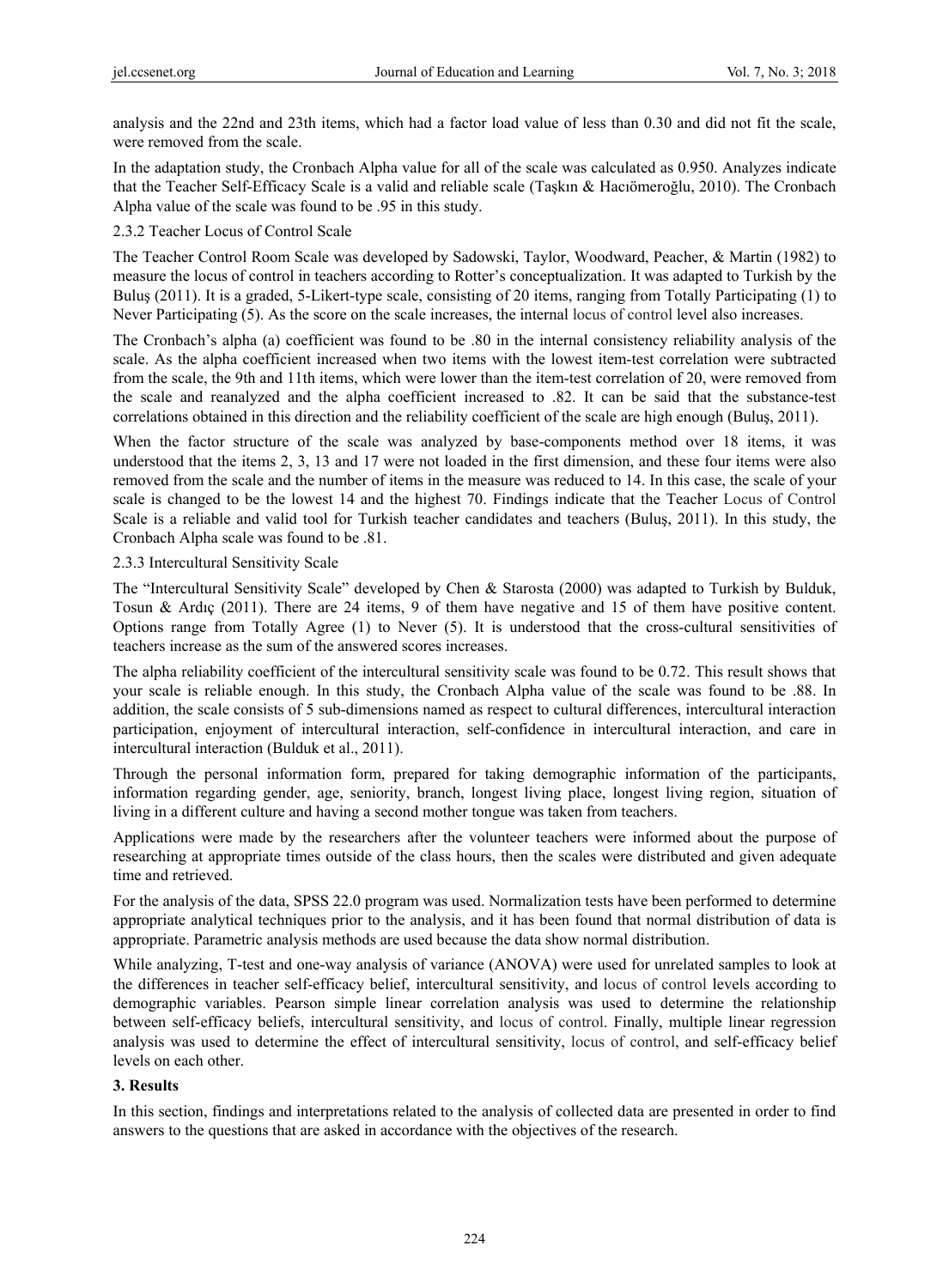analysis and the 22nd and 23th items, which had a factor load value of less than 0.30 and did not fit the scale, were removed from the scale.

In the adaptation study, the Cronbach Alpha value for all of the scale was calculated as 0.950. Analyzes indicate that the Teacher Self-Efficacy Scale is a valid and reliable scale (Taşkın & Hacıömeroğlu, 2010). The Cronbach Alpha value of the scale was found to be .95 in this study.

## 2.3.2 Teacher Locus of Control Scale

The Teacher Control Room Scale was developed by Sadowski, Taylor, Woodward, Peacher, & Martin (1982) to measure the locus of control in teachers according to Rotter's conceptualization. It was adapted to Turkish by the Buluş (2011). It is a graded, 5-Likert-type scale, consisting of 20 items, ranging from Totally Participating (1) to Never Participating (5). As the score on the scale increases, the internal locus of control level also increases.

The Cronbach's alpha (a) coefficient was found to be .80 in the internal consistency reliability analysis of the scale. As the alpha coefficient increased when two items with the lowest item-test correlation were subtracted from the scale, the 9th and 11th items, which were lower than the item-test correlation of 20, were removed from the scale and reanalyzed and the alpha coefficient increased to .82. It can be said that the substance-test correlations obtained in this direction and the reliability coefficient of the scale are high enough (Buluş, 2011).

When the factor structure of the scale was analyzed by base-components method over 18 items, it was understood that the items 2, 3, 13 and 17 were not loaded in the first dimension, and these four items were also removed from the scale and the number of items in the measure was reduced to 14. In this case, the scale of your scale is changed to be the lowest 14 and the highest 70. Findings indicate that the Teacher Locus of Control Scale is a reliable and valid tool for Turkish teacher candidates and teachers (Buluş, 2011). In this study, the Cronbach Alpha scale was found to be .81.

2.3.3 Intercultural Sensitivity Scale

The "Intercultural Sensitivity Scale" developed by Chen & Starosta (2000) was adapted to Turkish by Bulduk, Tosun & Ardıç (2011). There are 24 items, 9 of them have negative and 15 of them have positive content. Options range from Totally Agree (1) to Never (5). It is understood that the cross-cultural sensitivities of teachers increase as the sum of the answered scores increases.

The alpha reliability coefficient of the intercultural sensitivity scale was found to be 0.72. This result shows that your scale is reliable enough. In this study, the Cronbach Alpha value of the scale was found to be .88. In addition, the scale consists of 5 sub-dimensions named as respect to cultural differences, intercultural interaction participation, enjoyment of intercultural interaction, self-confidence in intercultural interaction, and care in intercultural interaction (Bulduk et al., 2011).

Through the personal information form, prepared for taking demographic information of the participants, information regarding gender, age, seniority, branch, longest living place, longest living region, situation of living in a different culture and having a second mother tongue was taken from teachers.

Applications were made by the researchers after the volunteer teachers were informed about the purpose of researching at appropriate times outside of the class hours, then the scales were distributed and given adequate time and retrieved.

For the analysis of the data, SPSS 22.0 program was used. Normalization tests have been performed to determine appropriate analytical techniques prior to the analysis, and it has been found that normal distribution of data is appropriate. Parametric analysis methods are used because the data show normal distribution.

While analyzing, T-test and one-way analysis of variance (ANOVA) were used for unrelated samples to look at the differences in teacher self-efficacy belief, intercultural sensitivity, and locus of control levels according to demographic variables. Pearson simple linear correlation analysis was used to determine the relationship between self-efficacy beliefs, intercultural sensitivity, and locus of control. Finally, multiple linear regression analysis was used to determine the effect of intercultural sensitivity, locus of control, and self-efficacy belief levels on each other.

# **3. Results**

In this section, findings and interpretations related to the analysis of collected data are presented in order to find answers to the questions that are asked in accordance with the objectives of the research.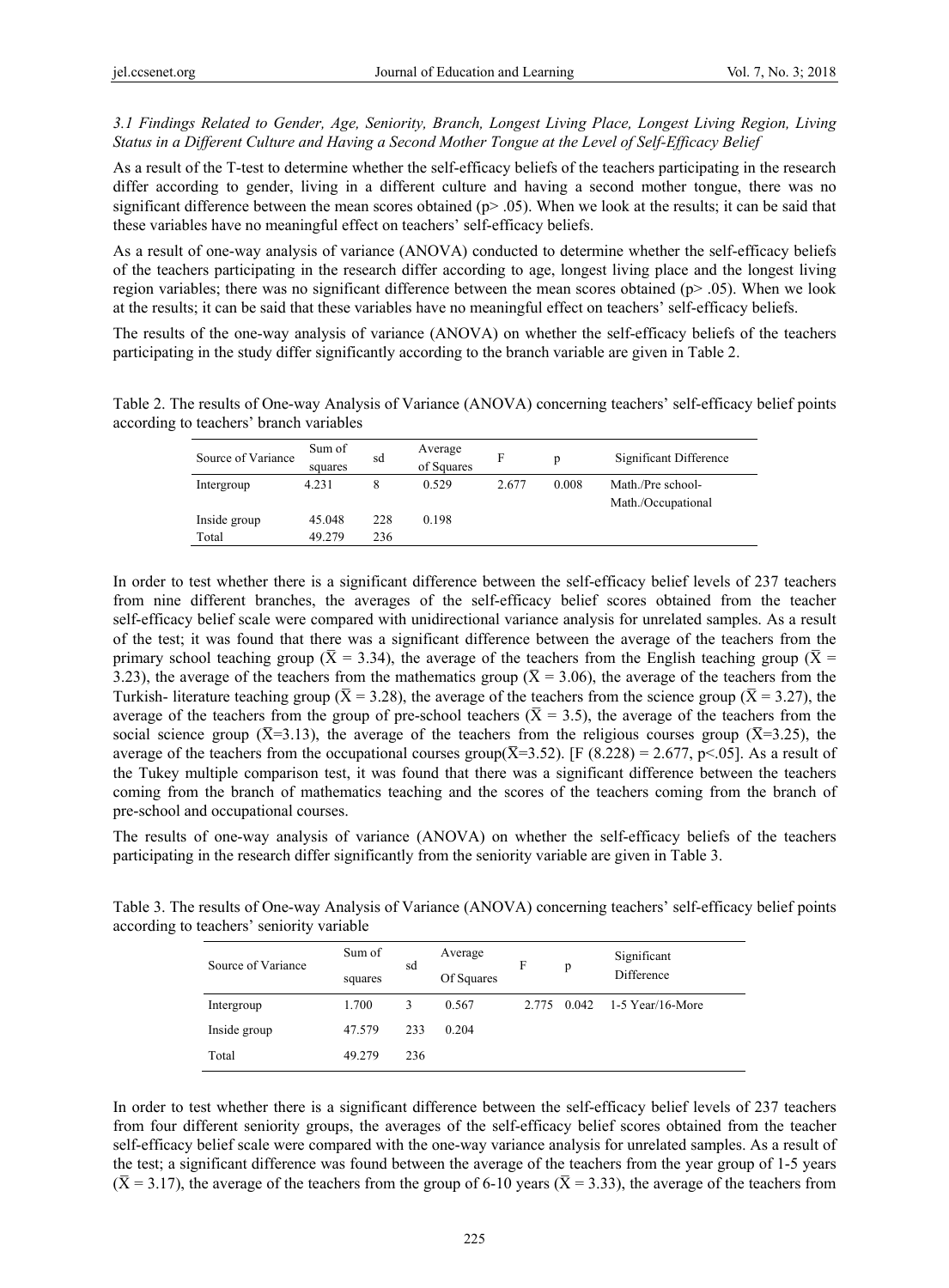*3.1 Findings Related to Gender, Age, Seniority, Branch, Longest Living Place, Longest Living Region, Living Status in a Different Culture and Having a Second Mother Tongue at the Level of Self-Efficacy Belief* 

As a result of the T-test to determine whether the self-efficacy beliefs of the teachers participating in the research differ according to gender, living in a different culture and having a second mother tongue, there was no significant difference between the mean scores obtained ( $p$  > .05). When we look at the results; it can be said that these variables have no meaningful effect on teachers' self-efficacy beliefs.

As a result of one-way analysis of variance (ANOVA) conducted to determine whether the self-efficacy beliefs of the teachers participating in the research differ according to age, longest living place and the longest living region variables; there was no significant difference between the mean scores obtained ( $p > .05$ ). When we look at the results; it can be said that these variables have no meaningful effect on teachers' self-efficacy beliefs.

The results of the one-way analysis of variance (ANOVA) on whether the self-efficacy beliefs of the teachers participating in the study differ significantly according to the branch variable are given in Table 2.

Table 2. The results of One-way Analysis of Variance (ANOVA) concerning teachers' self-efficacy belief points according to teachers' branch variables

| Source of Variance | Sum of<br>squares | sd  | Average<br>of Squares | F     | p     | Significant Difference                  |
|--------------------|-------------------|-----|-----------------------|-------|-------|-----------------------------------------|
| Intergroup         | 4.231             | 8   | 0.529                 | 2.677 | 0.008 | Math./Pre school-<br>Math./Occupational |
| Inside group       | 45.048            | 228 | 0.198                 |       |       |                                         |
| Total              | 49.279            | 236 |                       |       |       |                                         |
|                    |                   |     |                       |       |       |                                         |

In order to test whether there is a significant difference between the self-efficacy belief levels of 237 teachers from nine different branches, the averages of the self-efficacy belief scores obtained from the teacher self-efficacy belief scale were compared with unidirectional variance analysis for unrelated samples. As a result of the test; it was found that there was a significant difference between the average of the teachers from the primary school teaching group ( $\bar{X}$  = 3.34), the average of the teachers from the English teaching group ( $\bar{X}$  = 3.23), the average of the teachers from the mathematics group ( $\bar{X}$  = 3.06), the average of the teachers from the Turkish- literature teaching group ( $\bar{X}$  = 3.28), the average of the teachers from the science group ( $\bar{X}$  = 3.27), the average of the teachers from the group of pre-school teachers ( $\bar{X}$  = 3.5), the average of the teachers from the social science group ( $\bar{X}$ =3.13), the average of the teachers from the religious courses group ( $\bar{X}$ =3.25), the average of the teachers from the occupational courses group( $\overline{X}$ =3.52). [F (8.228) = 2.677, p<.05]. As a result of the Tukey multiple comparison test, it was found that there was a significant difference between the teachers coming from the branch of mathematics teaching and the scores of the teachers coming from the branch of pre-school and occupational courses.

The results of one-way analysis of variance (ANOVA) on whether the self-efficacy beliefs of the teachers participating in the research differ significantly from the seniority variable are given in Table 3.

Table 3. The results of One-way Analysis of Variance (ANOVA) concerning teachers' self-efficacy belief points according to teachers' seniority variable

| Source of Variance | Sum of<br>squares | sd  | Average<br>Of Squares | F     | p     | Significant<br>Difference |
|--------------------|-------------------|-----|-----------------------|-------|-------|---------------------------|
| Intergroup         | 1.700             | 3   | 0.567                 | 2.775 | 0.042 | $1-5$ Year/16-More        |
| Inside group       | 47.579            | 233 | 0.204                 |       |       |                           |
| Total              | 49.279            | 236 |                       |       |       |                           |

In order to test whether there is a significant difference between the self-efficacy belief levels of 237 teachers from four different seniority groups, the averages of the self-efficacy belief scores obtained from the teacher self-efficacy belief scale were compared with the one-way variance analysis for unrelated samples. As a result of the test; a significant difference was found between the average of the teachers from the year group of 1-5 years  $(\bar{X} = 3.17)$ , the average of the teachers from the group of 6-10 years ( $\bar{X} = 3.33$ ), the average of the teachers from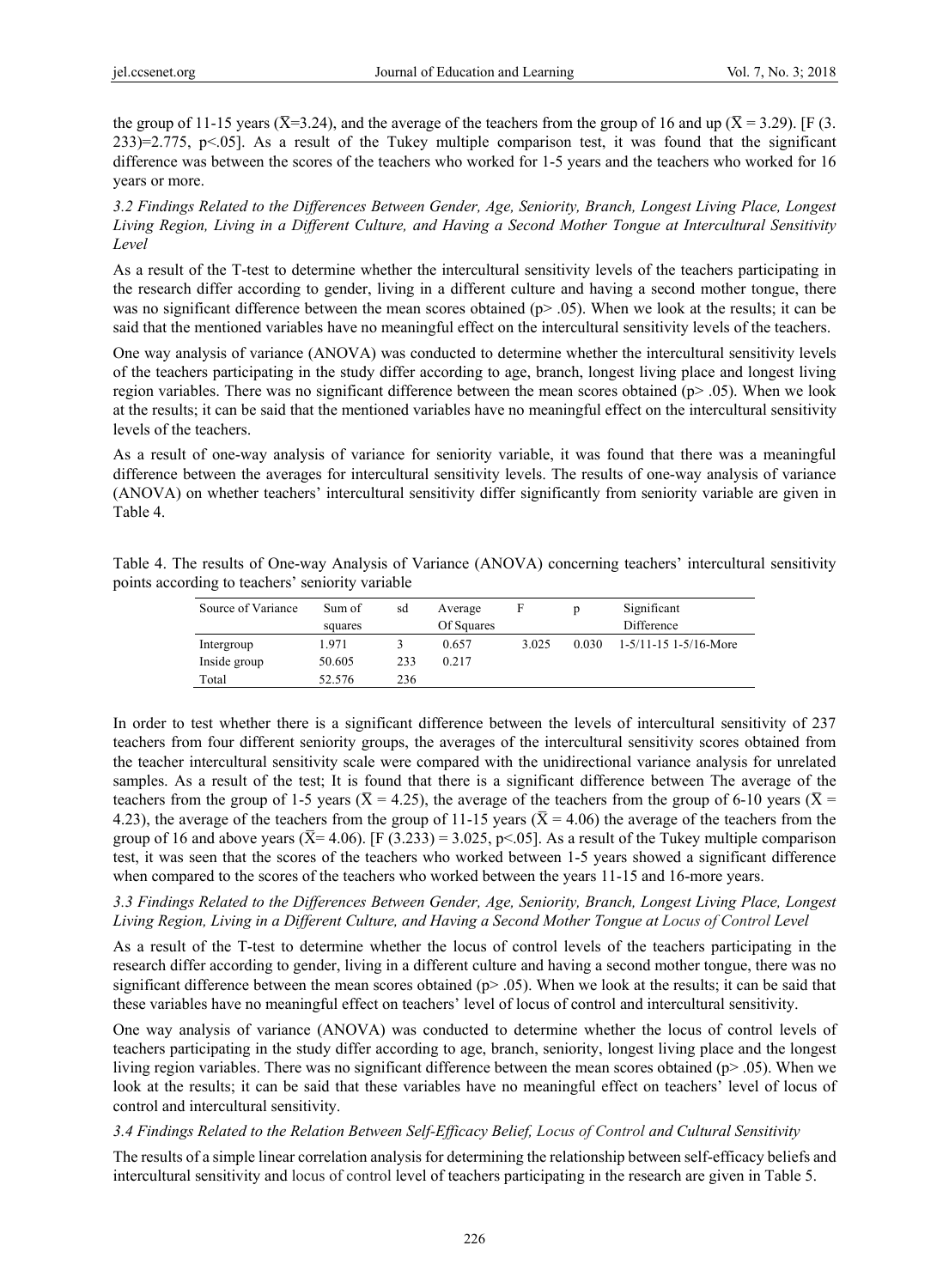the group of 11-15 years ( $\bar{X}$ =3.24), and the average of the teachers from the group of 16 and up ( $\bar{X}$  = 3.29). [F (3. 233)=2.775, p<.05]. As a result of the Tukey multiple comparison test, it was found that the significant difference was between the scores of the teachers who worked for 1-5 years and the teachers who worked for 16 years or more.

*3.2 Findings Related to the Differences Between Gender, Age, Seniority, Branch, Longest Living Place, Longest Living Region, Living in a Different Culture, and Having a Second Mother Tongue at Intercultural Sensitivity Level* 

As a result of the T-test to determine whether the intercultural sensitivity levels of the teachers participating in the research differ according to gender, living in a different culture and having a second mother tongue, there was no significant difference between the mean scores obtained ( $p$  > .05). When we look at the results; it can be said that the mentioned variables have no meaningful effect on the intercultural sensitivity levels of the teachers.

One way analysis of variance (ANOVA) was conducted to determine whether the intercultural sensitivity levels of the teachers participating in the study differ according to age, branch, longest living place and longest living region variables. There was no significant difference between the mean scores obtained (p> .05). When we look at the results; it can be said that the mentioned variables have no meaningful effect on the intercultural sensitivity levels of the teachers.

As a result of one-way analysis of variance for seniority variable, it was found that there was a meaningful difference between the averages for intercultural sensitivity levels. The results of one-way analysis of variance (ANOVA) on whether teachers' intercultural sensitivity differ significantly from seniority variable are given in Table 4.

Table 4. The results of One-way Analysis of Variance (ANOVA) concerning teachers' intercultural sensitivity points according to teachers' seniority variable

| Source of Variance | Sum of  | sd  | Average    | F     |       | Significant             |
|--------------------|---------|-----|------------|-------|-------|-------------------------|
|                    | squares |     | Of Squares |       |       | Difference              |
| Intergroup         | 1.971   |     | 0.657      | 3.025 | 0.030 | $1-5/11-15$ 1-5/16-More |
| Inside group       | 50.605  | 233 | 0.217      |       |       |                         |
| Total              | 52.576  | 236 |            |       |       |                         |

In order to test whether there is a significant difference between the levels of intercultural sensitivity of 237 teachers from four different seniority groups, the averages of the intercultural sensitivity scores obtained from the teacher intercultural sensitivity scale were compared with the unidirectional variance analysis for unrelated samples. As a result of the test; It is found that there is a significant difference between The average of the teachers from the group of 1-5 years ( $\bar{X}$  = 4.25), the average of the teachers from the group of 6-10 years ( $\bar{X}$  = 4.23), the average of the teachers from the group of 11-15 years ( $\bar{X}$  = 4.06) the average of the teachers from the group of 16 and above years ( $\overline{X}$ = 4.06). [F (3.233) = 3.025, p<.05]. As a result of the Tukey multiple comparison test, it was seen that the scores of the teachers who worked between 1-5 years showed a significant difference when compared to the scores of the teachers who worked between the years 11-15 and 16-more years.

## *3.3 Findings Related to the Differences Between Gender, Age, Seniority, Branch, Longest Living Place, Longest Living Region, Living in a Different Culture, and Having a Second Mother Tongue at Locus of Control Level*

As a result of the T-test to determine whether the locus of control levels of the teachers participating in the research differ according to gender, living in a different culture and having a second mother tongue, there was no significant difference between the mean scores obtained ( $p$  > .05). When we look at the results; it can be said that these variables have no meaningful effect on teachers' level of locus of control and intercultural sensitivity.

One way analysis of variance (ANOVA) was conducted to determine whether the locus of control levels of teachers participating in the study differ according to age, branch, seniority, longest living place and the longest living region variables. There was no significant difference between the mean scores obtained (p> .05). When we look at the results; it can be said that these variables have no meaningful effect on teachers' level of locus of control and intercultural sensitivity.

## *3.4 Findings Related to the Relation Between Self-Efficacy Belief, Locus of Control and Cultural Sensitivity*

The results of a simple linear correlation analysis for determining the relationship between self-efficacy beliefs and intercultural sensitivity and locus of control level of teachers participating in the research are given in Table 5.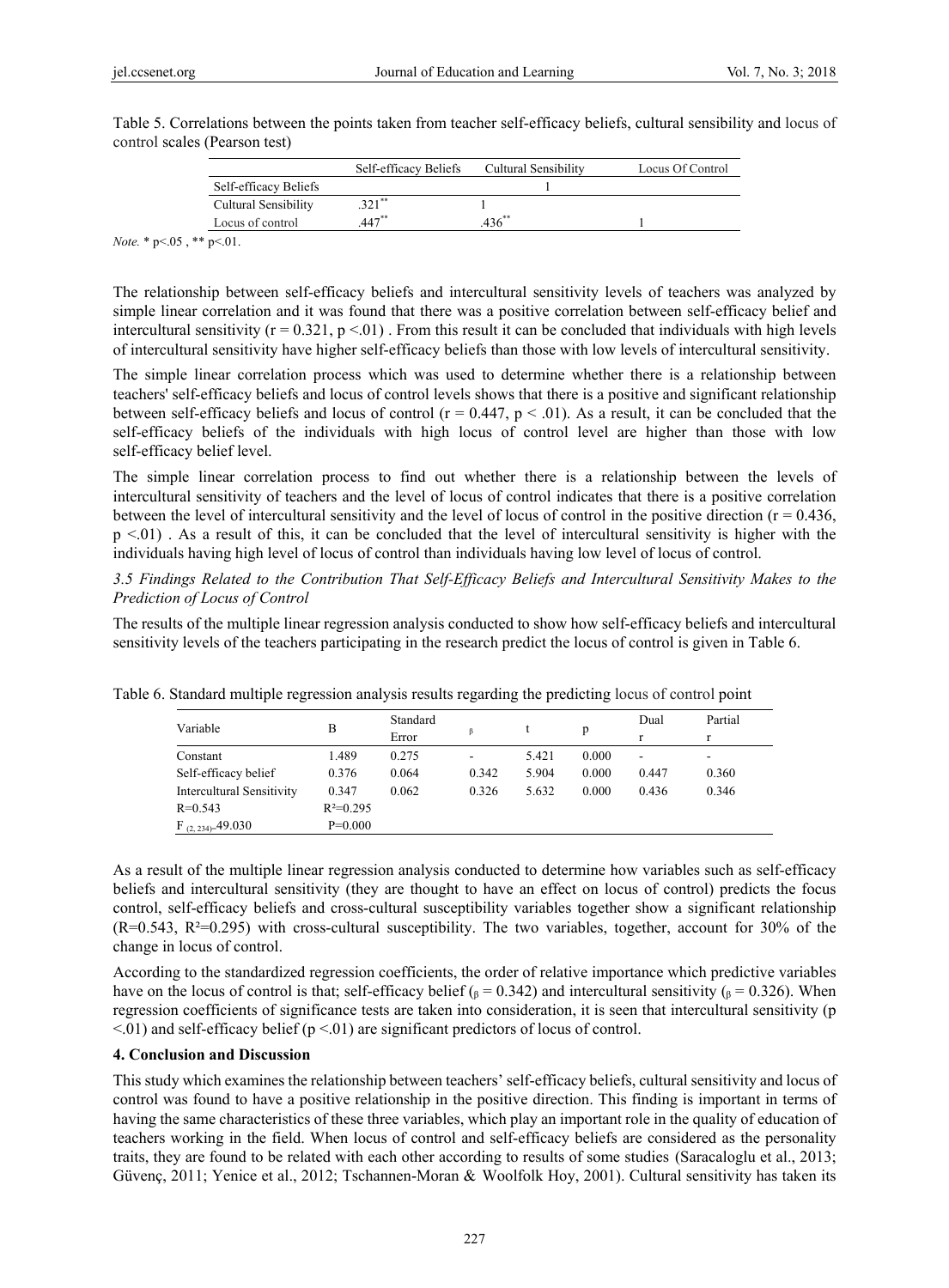|                       | Self-efficacy Beliefs | Cultural Sensibility | Locus Of Control |
|-----------------------|-----------------------|----------------------|------------------|
| Self-efficacy Beliefs |                       |                      |                  |
| Cultural Sensibility  | $321$ **              |                      |                  |
| Locus of control      | $447***$              |                      |                  |

Table 5. Correlations between the points taken from teacher self-efficacy beliefs, cultural sensibility and locus of control scales (Pearson test)

*Note.* \* p<.05, \*\* p<.01.

The relationship between self-efficacy beliefs and intercultural sensitivity levels of teachers was analyzed by simple linear correlation and it was found that there was a positive correlation between self-efficacy belief and intercultural sensitivity ( $r = 0.321$ ,  $p < 01$ ). From this result it can be concluded that individuals with high levels of intercultural sensitivity have higher self-efficacy beliefs than those with low levels of intercultural sensitivity.

The simple linear correlation process which was used to determine whether there is a relationship between teachers' self-efficacy beliefs and locus of control levels shows that there is a positive and significant relationship between self-efficacy beliefs and locus of control ( $r = 0.447$ ,  $p < .01$ ). As a result, it can be concluded that the self-efficacy beliefs of the individuals with high locus of control level are higher than those with low self-efficacy belief level.

The simple linear correlation process to find out whether there is a relationship between the levels of intercultural sensitivity of teachers and the level of locus of control indicates that there is a positive correlation between the level of intercultural sensitivity and the level of locus of control in the positive direction  $(r = 0.436)$ , p <.01) . As a result of this, it can be concluded that the level of intercultural sensitivity is higher with the individuals having high level of locus of control than individuals having low level of locus of control.

*3.5 Findings Related to the Contribution That Self-Efficacy Beliefs and Intercultural Sensitivity Makes to the Prediction of Locus of Control* 

The results of the multiple linear regression analysis conducted to show how self-efficacy beliefs and intercultural sensitivity levels of the teachers participating in the research predict the locus of control is given in Table 6.

| Variable                  | В           | Standard | β     |       | p     | Dual  | Partial |
|---------------------------|-------------|----------|-------|-------|-------|-------|---------|
|                           |             | Error    |       |       |       | r     |         |
| Constant                  | 1.489       | 0.275    |       | 5.421 | 0.000 | ۰     | ۰       |
| Self-efficacy belief      | 0.376       | 0.064    | 0.342 | 5.904 | 0.000 | 0.447 | 0.360   |
| Intercultural Sensitivity | 0.347       | 0.062    | 0.326 | 5.632 | 0.000 | 0.436 | 0.346   |
| $R = 0.543$               | $R^2=0.295$ |          |       |       |       |       |         |
| $F_{(2, 234)=}49.030$     | $P=0.000$   |          |       |       |       |       |         |

Table 6. Standard multiple regression analysis results regarding the predicting locus of control point

As a result of the multiple linear regression analysis conducted to determine how variables such as self-efficacy beliefs and intercultural sensitivity (they are thought to have an effect on locus of control) predicts the focus control, self-efficacy beliefs and cross-cultural susceptibility variables together show a significant relationship (R=0.543, R²=0.295) with cross-cultural susceptibility. The two variables, together, account for 30% of the change in locus of control.

According to the standardized regression coefficients, the order of relative importance which predictive variables have on the locus of control is that; self-efficacy belief ( $_\beta$  = 0.342) and intercultural sensitivity ( $_\beta$  = 0.326). When regression coefficients of significance tests are taken into consideration, it is seen that intercultural sensitivity (p  $\leq$  01) and self-efficacy belief (p  $\leq$  01) are significant predictors of locus of control.

# **4. Conclusion and Discussion**

This study which examines the relationship between teachers' self-efficacy beliefs, cultural sensitivity and locus of control was found to have a positive relationship in the positive direction. This finding is important in terms of having the same characteristics of these three variables, which play an important role in the quality of education of teachers working in the field. When locus of control and self-efficacy beliefs are considered as the personality traits, they are found to be related with each other according to results of some studies (Saracaloglu et al., 2013; Güvenç, 2011; Yenice et al., 2012; Tschannen-Moran & Woolfolk Hoy, 2001). Cultural sensitivity has taken its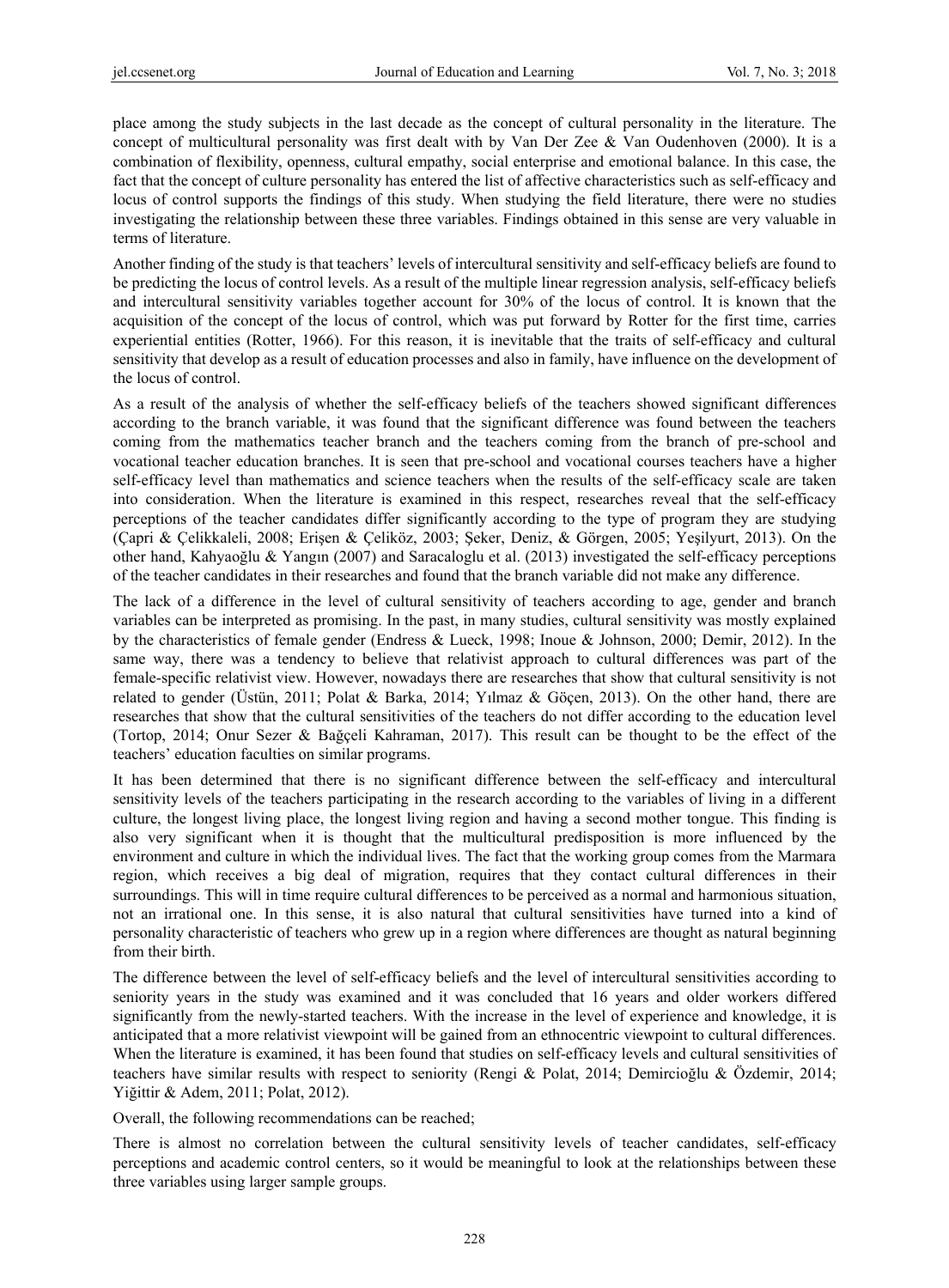place among the study subjects in the last decade as the concept of cultural personality in the literature. The concept of multicultural personality was first dealt with by Van Der Zee & Van Oudenhoven (2000). It is a combination of flexibility, openness, cultural empathy, social enterprise and emotional balance. In this case, the fact that the concept of culture personality has entered the list of affective characteristics such as self-efficacy and locus of control supports the findings of this study. When studying the field literature, there were no studies investigating the relationship between these three variables. Findings obtained in this sense are very valuable in terms of literature.

Another finding of the study is that teachers' levels of intercultural sensitivity and self-efficacy beliefs are found to be predicting the locus of control levels. As a result of the multiple linear regression analysis, self-efficacy beliefs and intercultural sensitivity variables together account for 30% of the locus of control. It is known that the acquisition of the concept of the locus of control, which was put forward by Rotter for the first time, carries experiential entities (Rotter, 1966). For this reason, it is inevitable that the traits of self-efficacy and cultural sensitivity that develop as a result of education processes and also in family, have influence on the development of the locus of control.

As a result of the analysis of whether the self-efficacy beliefs of the teachers showed significant differences according to the branch variable, it was found that the significant difference was found between the teachers coming from the mathematics teacher branch and the teachers coming from the branch of pre-school and vocational teacher education branches. It is seen that pre-school and vocational courses teachers have a higher self-efficacy level than mathematics and science teachers when the results of the self-efficacy scale are taken into consideration. When the literature is examined in this respect, researches reveal that the self-efficacy perceptions of the teacher candidates differ significantly according to the type of program they are studying (Çapri & Çelikkaleli, 2008; Erişen & Çeliköz, 2003; Şeker, Deniz, & Görgen, 2005; Yeşilyurt, 2013). On the other hand, Kahyaoğlu & Yangın (2007) and Saracaloglu et al. (2013) investigated the self-efficacy perceptions of the teacher candidates in their researches and found that the branch variable did not make any difference.

The lack of a difference in the level of cultural sensitivity of teachers according to age, gender and branch variables can be interpreted as promising. In the past, in many studies, cultural sensitivity was mostly explained by the characteristics of female gender (Endress & Lueck, 1998; Inoue & Johnson, 2000; Demir, 2012). In the same way, there was a tendency to believe that relativist approach to cultural differences was part of the female-specific relativist view. However, nowadays there are researches that show that cultural sensitivity is not related to gender (Üstün, 2011; Polat & Barka, 2014; Yılmaz & Göçen, 2013). On the other hand, there are researches that show that the cultural sensitivities of the teachers do not differ according to the education level (Tortop, 2014; Onur Sezer & Bağçeli Kahraman, 2017). This result can be thought to be the effect of the teachers' education faculties on similar programs.

It has been determined that there is no significant difference between the self-efficacy and intercultural sensitivity levels of the teachers participating in the research according to the variables of living in a different culture, the longest living place, the longest living region and having a second mother tongue. This finding is also very significant when it is thought that the multicultural predisposition is more influenced by the environment and culture in which the individual lives. The fact that the working group comes from the Marmara region, which receives a big deal of migration, requires that they contact cultural differences in their surroundings. This will in time require cultural differences to be perceived as a normal and harmonious situation, not an irrational one. In this sense, it is also natural that cultural sensitivities have turned into a kind of personality characteristic of teachers who grew up in a region where differences are thought as natural beginning from their birth.

The difference between the level of self-efficacy beliefs and the level of intercultural sensitivities according to seniority years in the study was examined and it was concluded that 16 years and older workers differed significantly from the newly-started teachers. With the increase in the level of experience and knowledge, it is anticipated that a more relativist viewpoint will be gained from an ethnocentric viewpoint to cultural differences. When the literature is examined, it has been found that studies on self-efficacy levels and cultural sensitivities of teachers have similar results with respect to seniority (Rengi & Polat, 2014; Demircioğlu & Özdemir, 2014; Yiğittir & Adem, 2011; Polat, 2012).

Overall, the following recommendations can be reached;

There is almost no correlation between the cultural sensitivity levels of teacher candidates, self-efficacy perceptions and academic control centers, so it would be meaningful to look at the relationships between these three variables using larger sample groups.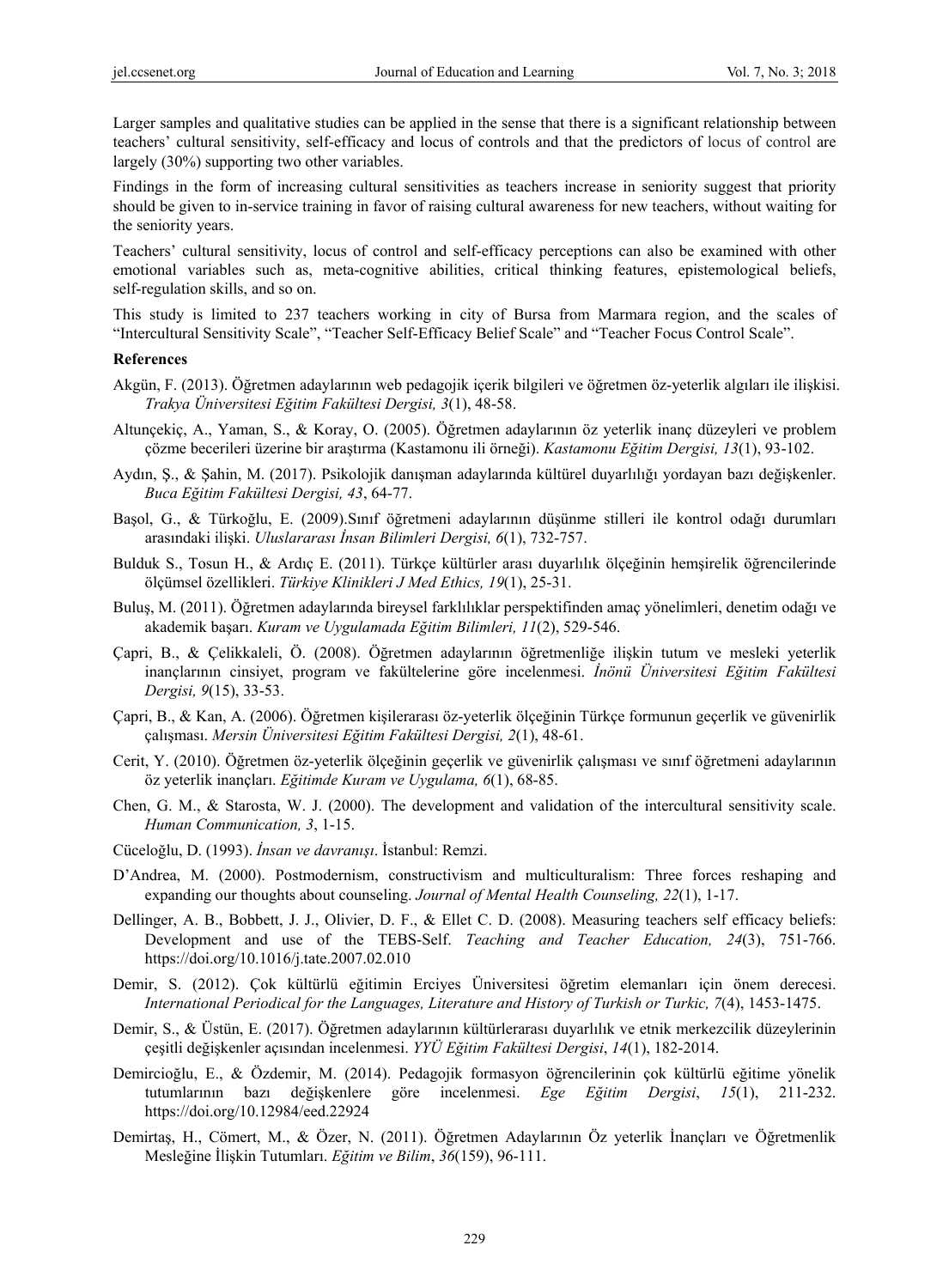Larger samples and qualitative studies can be applied in the sense that there is a significant relationship between teachers' cultural sensitivity, self-efficacy and locus of controls and that the predictors of locus of control are largely (30%) supporting two other variables.

Findings in the form of increasing cultural sensitivities as teachers increase in seniority suggest that priority should be given to in-service training in favor of raising cultural awareness for new teachers, without waiting for the seniority years.

Teachers' cultural sensitivity, locus of control and self-efficacy perceptions can also be examined with other emotional variables such as, meta-cognitive abilities, critical thinking features, epistemological beliefs, self-regulation skills, and so on.

This study is limited to 237 teachers working in city of Bursa from Marmara region, and the scales of "Intercultural Sensitivity Scale", "Teacher Self-Efficacy Belief Scale" and "Teacher Focus Control Scale".

#### **References**

- Akgün, F. (2013). Öğretmen adaylarının web pedagojik içerik bilgileri ve öğretmen öz-yeterlik algıları ile ilişkisi. *Trakya Üniversitesi Eğitim Fakültesi Dergisi, 3*(1), 48-58.
- Altunçekiç, A., Yaman, S., & Koray, O. (2005). Öğretmen adaylarının öz yeterlik inanç düzeyleri ve problem çözme becerileri üzerine bir araştırma (Kastamonu ili örneği). *Kastamonu Eğitim Dergisi, 13*(1), 93-102.
- Aydın, Ş., & Şahin, M. (2017). Psikolojik danışman adaylarında kültürel duyarlılığı yordayan bazı değişkenler. *Buca Eğitim Fakültesi Dergisi, 43*, 64-77.
- Başol, G., & Türkoğlu, E. (2009).Sınıf öğretmeni adaylarının düşünme stilleri ile kontrol odağı durumları arasındaki ilişki. *Uluslararası İnsan Bilimleri Dergisi, 6*(1), 732-757.
- Bulduk S., Tosun H., & Ardıç E. (2011). Türkçe kültürler arası duyarlılık ölçeğinin hemşirelik öğrencilerinde ölçümsel özellikleri. *Türkiye Klinikleri J Med Ethics, 19*(1), 25-31.
- Buluş, M. (2011). Öğretmen adaylarında bireysel farklılıklar perspektifinden amaç yönelimleri, denetim odağı ve akademik başarı. *Kuram ve Uygulamada Eğitim Bilimleri, 11*(2), 529-546.
- Çapri, B., & Çelikkaleli, Ö. (2008). Öğretmen adaylarının öğretmenliğe ilişkin tutum ve mesleki yeterlik inançlarının cinsiyet, program ve fakültelerine göre incelenmesi. *İnönü Üniversitesi Eğitim Fakültesi Dergisi, 9*(15), 33-53.
- Çapri, B., & Kan, A. (2006). Öğretmen kişilerarası öz-yeterlik ölçeğinin Türkçe formunun geçerlik ve güvenirlik çalışması. *Mersin Üniversitesi Eğitim Fakültesi Dergisi, 2*(1), 48-61.
- Cerit, Y. (2010). Öğretmen öz-yeterlik ölçeğinin geçerlik ve güvenirlik çalışması ve sınıf öğretmeni adaylarının öz yeterlik inançları. *Eğitimde Kuram ve Uygulama, 6*(1), 68-85.
- Chen, G. M., & Starosta, W. J. (2000). The development and validation of the intercultural sensitivity scale. *Human Communication, 3*, 1-15.
- Cüceloğlu, D. (1993). *İnsan ve davranışı*. İstanbul: Remzi.
- D'Andrea, M. (2000). Postmodernism, constructivism and multiculturalism: Three forces reshaping and expanding our thoughts about counseling. *Journal of Mental Health Counseling, 22*(1), 1-17.
- Dellinger, A. B., Bobbett, J. J., Olivier, D. F., & Ellet C. D. (2008). Measuring teachers self efficacy beliefs: Development and use of the TEBS-Self. *Teaching and Teacher Education, 24*(3), 751-766. https://doi.org/10.1016/j.tate.2007.02.010
- Demir, S. (2012). Çok kültürlü eğitimin Erciyes Üniversitesi öğretim elemanları için önem derecesi. *International Periodical for the Languages, Literature and History of Turkish or Turkic, 7*(4), 1453-1475.
- Demir, S., & Üstün, E. (2017). Öğretmen adaylarının kültürlerarası duyarlılık ve etnik merkezcilik düzeylerinin çeşitli değişkenler açısından incelenmesi. *YYÜ Eğitim Fakültesi Dergisi*, *14*(1), 182-2014.
- Demircioğlu, E., & Özdemir, M. (2014). Pedagojik formasyon öğrencilerinin çok kültürlü eğitime yönelik tutumlarının bazı değişkenlere göre incelenmesi. *Ege Eğitim Dergisi*, *15*(1), 211-232. https://doi.org/10.12984/eed.22924
- Demirtaş, H., Cömert, M., & Özer, N. (2011). Öğretmen Adaylarının Öz yeterlik İnançları ve Öğretmenlik Mesleğine İlişkin Tutumları. *Eğitim ve Bilim*, *36*(159), 96-111.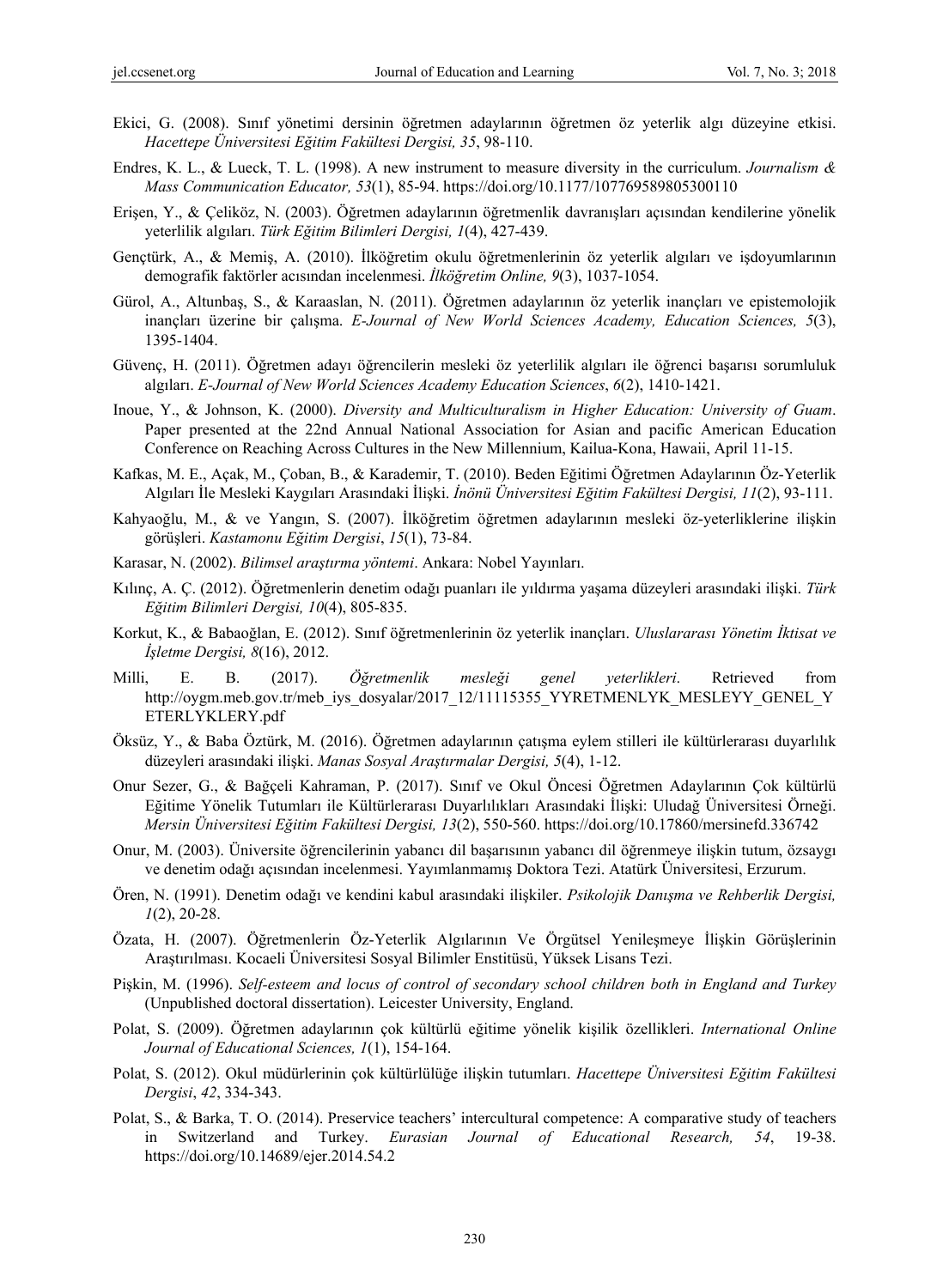- Ekici, G. (2008). Sınıf yönetimi dersinin öğretmen adaylarının öğretmen öz yeterlik algı düzeyine etkisi. *Hacettepe Üniversitesi Eğitim Fakültesi Dergisi, 35*, 98-110.
- Endres, K. L., & Lueck, T. L. (1998). A new instrument to measure diversity in the curriculum. *Journalism & Mass Communication Educator, 53*(1), 85-94. https://doi.org/10.1177/107769589805300110
- Erişen, Y., & Çeliköz, N. (2003). Öğretmen adaylarının öğretmenlik davranışları açısından kendilerine yönelik yeterlilik algıları. *Türk Eğitim Bilimleri Dergisi, 1*(4), 427-439.
- Gençtürk, A., & Memiş, A. (2010). İlköğretim okulu öğretmenlerinin öz yeterlik algıları ve işdoyumlarının demografik faktörler acısından incelenmesi. *İlköğretim Online, 9*(3), 1037-1054.
- Gürol, A., Altunbaş, S., & Karaaslan, N. (2011). Öğretmen adaylarının öz yeterlik inançları ve epistemolojik inançları üzerine bir çalışma. *E-Journal of New World Sciences Academy, Education Sciences, 5*(3), 1395-1404.
- Güvenç, H. (2011). Öğretmen adayı öğrencilerin mesleki öz yeterlilik algıları ile öğrenci başarısı sorumluluk algıları. *E-Journal of New World Sciences Academy Education Sciences*, *6*(2), 1410-1421.
- Inoue, Y., & Johnson, K. (2000). *Diversity and Multiculturalism in Higher Education: University of Guam*. Paper presented at the 22nd Annual National Association for Asian and pacific American Education Conference on Reaching Across Cultures in the New Millennium, Kailua-Kona, Hawaii, April 11-15.
- Kafkas, M. E., Açak, M., Çoban, B., & Karademir, T. (2010). Beden Eğitimi Öğretmen Adaylarının Öz-Yeterlik Algıları İle Mesleki Kaygıları Arasındaki İlişki. *İnönü Üniversitesi Eğitim Fakültesi Dergisi, 11*(2), 93-111.
- Kahyaoğlu, M., & ve Yangın, S. (2007). İlköğretim öğretmen adaylarının mesleki öz-yeterliklerine ilişkin görüşleri. *Kastamonu Eğitim Dergisi*, *15*(1), 73-84.
- Karasar, N. (2002). *Bilimsel araştırma yöntemi*. Ankara: Nobel Yayınları.
- Kılınç, A. Ç. (2012). Öğretmenlerin denetim odağı puanları ile yıldırma yaşama düzeyleri arasındaki ilişki. *Türk Eğitim Bilimleri Dergisi, 10*(4), 805-835.
- Korkut, K., & Babaoğlan, E. (2012). Sınıf öğretmenlerinin öz yeterlik inançları. *Uluslararası Yönetim İktisat ve İşletme Dergisi, 8*(16), 2012.
- Milli, E. B. (2017). *Öğretmenlik mesleği genel yeterlikleri*. Retrieved from http://oygm.meb.gov.tr/meb\_iys\_dosyalar/2017\_12/11115355\_YYRETMENLYK\_MESLEYY\_GENEL\_Y ETERLYKLERY.pdf
- Öksüz, Y., & Baba Öztürk, M. (2016). Öğretmen adaylarının çatışma eylem stilleri ile kültürlerarası duyarlılık düzeyleri arasındaki ilişki. *Manas Sosyal Araştırmalar Dergisi, 5*(4), 1-12.
- Onur Sezer, G., & Bağçeli Kahraman, P. (2017). Sınıf ve Okul Öncesi Öğretmen Adaylarının Çok kültürlü Eğitime Yönelik Tutumları ile Kültürlerarası Duyarlılıkları Arasındaki İlişki: Uludağ Üniversitesi Örneği. *Mersin Üniversitesi Eğitim Fakültesi Dergisi, 13*(2), 550-560. https://doi.org/10.17860/mersinefd.336742
- Onur, M. (2003). Üniversite öğrencilerinin yabancı dil başarısının yabancı dil öğrenmeye ilişkin tutum, özsaygı ve denetim odağı açısından incelenmesi. Yayımlanmamış Doktora Tezi. Atatürk Üniversitesi, Erzurum.
- Ören, N. (1991). Denetim odağı ve kendini kabul arasındaki ilişkiler. *Psikolojik Danışma ve Rehberlik Dergisi, 1*(2), 20-28.
- Özata, H. (2007). Öğretmenlerin Öz-Yeterlik Algılarının Ve Örgütsel Yenileşmeye İlişkin Görüşlerinin Araştırılması. Kocaeli Üniversitesi Sosyal Bilimler Enstitüsü, Yüksek Lisans Tezi.
- Pişkin, M. (1996). *Self-esteem and locus of control of secondary school children both in England and Turkey*  (Unpublished doctoral dissertation). Leicester University, England.
- Polat, S. (2009). Öğretmen adaylarının çok kültürlü eğitime yönelik kişilik özellikleri. *International Online Journal of Educational Sciences, 1*(1), 154-164.
- Polat, S. (2012). Okul müdürlerinin çok kültürlülüğe ilişkin tutumları. *Hacettepe Üniversitesi Eğitim Fakültesi Dergisi*, *42*, 334-343.
- Polat, S., & Barka, T. O. (2014). Preservice teachers' intercultural competence: A comparative study of teachers in Switzerland and Turkey. *Eurasian Journal of Educational Research, 54*, 19-38. https://doi.org/10.14689/ejer.2014.54.2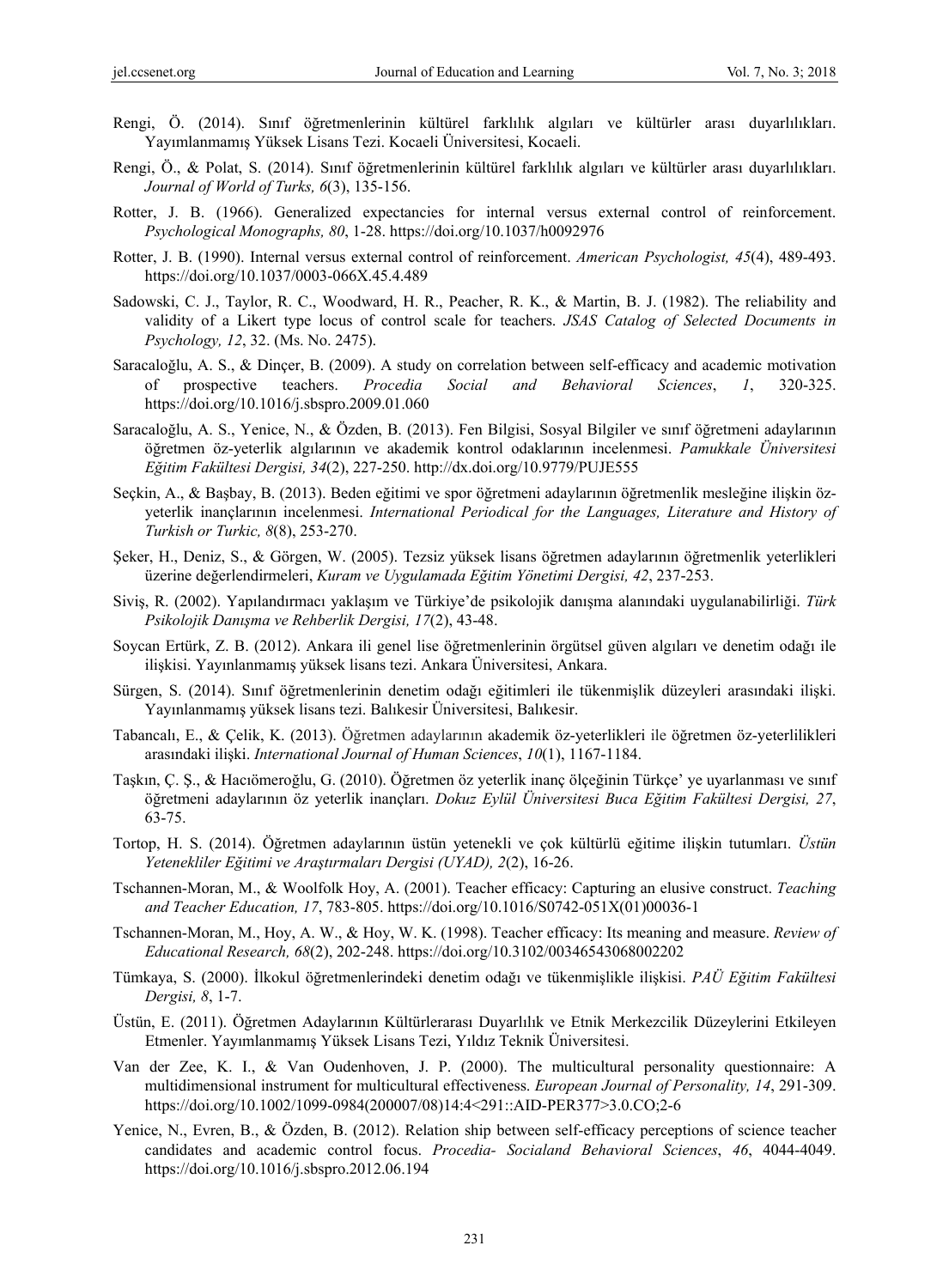- Rengi, Ö. (2014). Sınıf öğretmenlerinin kültürel farklılık algıları ve kültürler arası duyarlılıkları. Yayımlanmamış Yüksek Lisans Tezi. Kocaeli Üniversitesi, Kocaeli.
- Rengi, Ö., & Polat, S. (2014). Sınıf öğretmenlerinin kültürel farklılık algıları ve kültürler arası duyarlılıkları. *Journal of World of Turks, 6*(3), 135-156.
- Rotter, J. B. (1966). Generalized expectancies for internal versus external control of reinforcement. *Psychological Monographs, 80*, 1-28. https://doi.org/10.1037/h0092976
- Rotter, J. B. (1990). Internal versus external control of reinforcement. *American Psychologist, 45*(4), 489-493. https://doi.org/10.1037/0003-066X.45.4.489
- Sadowski, C. J., Taylor, R. C., Woodward, H. R., Peacher, R. K., & Martin, B. J. (1982). The reliability and validity of a Likert type locus of control scale for teachers. *JSAS Catalog of Selected Documents in Psychology, 12*, 32. (Ms. No. 2475).
- Saracaloğlu, A. S., & Dinçer, B. (2009). A study on correlation between self-efficacy and academic motivation of prospective teachers. *Procedia Social and Behavioral Sciences*, *1*, 320-325. https://doi.org/10.1016/j.sbspro.2009.01.060
- Saracaloğlu, A. S., Yenice, N., & Özden, B. (2013). Fen Bilgisi, Sosyal Bilgiler ve sınıf öğretmeni adaylarının öğretmen öz-yeterlik algılarının ve akademik kontrol odaklarının incelenmesi. *Pamukkale Üniversitesi Eğitim Fakültesi Dergisi, 34*(2), 227-250. http://dx.doi.org/10.9779/PUJE555
- Seçkin, A., & Başbay, B. (2013). Beden eğitimi ve spor öğretmeni adaylarının öğretmenlik mesleğine ilişkin özyeterlik inançlarının incelenmesi. *International Periodical for the Languages, Literature and History of Turkish or Turkic, 8*(8), 253-270.
- Şeker, H., Deniz, S., & Görgen, W. (2005). Tezsiz yüksek lisans öğretmen adaylarının öğretmenlik yeterlikleri üzerine değerlendirmeleri, *Kuram ve Uygulamada Eğitim Yönetimi Dergisi, 42*, 237-253.
- Siviş, R. (2002). Yapılandırmacı yaklaşım ve Türkiye'de psikolojik danışma alanındaki uygulanabilirliği. *Türk Psikolojik Danışma ve Rehberlik Dergisi, 17*(2), 43-48.
- Soycan Ertürk, Z. B. (2012). Ankara ili genel lise öğretmenlerinin örgütsel güven algıları ve denetim odağı ile ilişkisi. Yayınlanmamış yüksek lisans tezi. Ankara Üniversitesi, Ankara.
- Sürgen, S. (2014). Sınıf öğretmenlerinin denetim odağı eğitimleri ile tükenmişlik düzeyleri arasındaki ilişki. Yayınlanmamış yüksek lisans tezi. Balıkesir Üniversitesi, Balıkesir.
- Tabancalı, E., & Çelik, K. (2013). Öğretmen adaylarının akademik öz-yeterlikleri ile öğretmen öz-yeterlilikleri arasındaki ilişki. *International Journal of Human Sciences*, *10*(1), 1167-1184.
- Taşkın, Ç. Ş., & Hacıömeroğlu, G. (2010). Öğretmen öz yeterlik inanç ölçeğinin Türkçe' ye uyarlanması ve sınıf öğretmeni adaylarının öz yeterlik inançları. *Dokuz Eylül Üniversitesi Buca Eğitim Fakültesi Dergisi, 27*, 63-75.
- Tortop, H. S. (2014). Öğretmen adaylarının üstün yetenekli ve çok kültürlü eğitime ilişkin tutumları. *Üstün Yetenekliler Eğitimi ve Araştırmaları Dergisi (UYAD), 2*(2), 16-26.
- Tschannen-Moran, M., & Woolfolk Hoy, A. (2001). Teacher efficacy: Capturing an elusive construct. *Teaching and Teacher Education, 17*, 783-805. https://doi.org/10.1016/S0742-051X(01)00036-1
- Tschannen-Moran, M., Hoy, A. W., & Hoy, W. K. (1998). Teacher efficacy: Its meaning and measure. *Review of Educational Research, 68*(2), 202-248. https://doi.org/10.3102/00346543068002202
- Tümkaya, S. (2000). İlkokul öğretmenlerindeki denetim odağı ve tükenmişlikle ilişkisi. *PAÜ Eğitim Fakültesi Dergisi, 8*, 1-7.
- Üstün, E. (2011). Öğretmen Adaylarının Kültürlerarası Duyarlılık ve Etnik Merkezcilik Düzeylerini Etkileyen Etmenler. Yayımlanmamış Yüksek Lisans Tezi, Yıldız Teknik Üniversitesi.
- Van der Zee, K. I., & Van Oudenhoven, J. P. (2000). The multicultural personality questionnaire: A multidimensional instrument for multicultural effectiveness. *European Journal of Personality, 14*, 291-309. https://doi.org/10.1002/1099-0984(200007/08)14:4<291::AID-PER377>3.0.CO;2-6
- Yenice, N., Evren, B., & Özden, B. (2012). Relation ship between self-efficacy perceptions of science teacher candidates and academic control focus. *Procedia- Socialand Behavioral Sciences*, *46*, 4044-4049. https://doi.org/10.1016/j.sbspro.2012.06.194